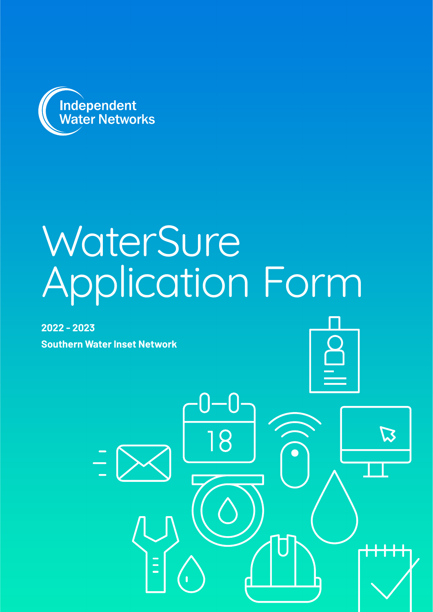

# **WaterSure** Application Form

**2022 - 2023 Southern Water Inset Network**



 $\boldsymbol{\vartriangle}$